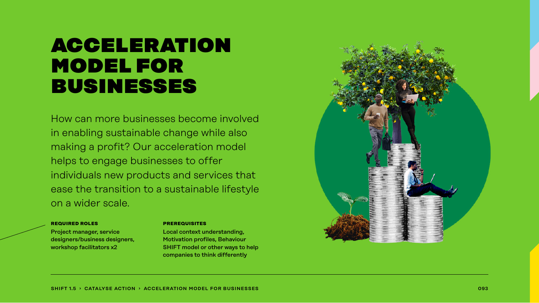### **ACCELERATION** model for businesses

How can more businesses become involved in enabling sustainable change while also making a profit? Our acceleration model helps to engage businesses to offer individuals new products and services that ease the transition to a sustainable lifestyle on a wider scale.

#### **required roles**

Project manager, service designers/business designers, workshop facilitators x2

#### **prerequisites**

Local context understanding, Motivation profiles, Behaviour SHIFT model or other ways to help companies to think differently

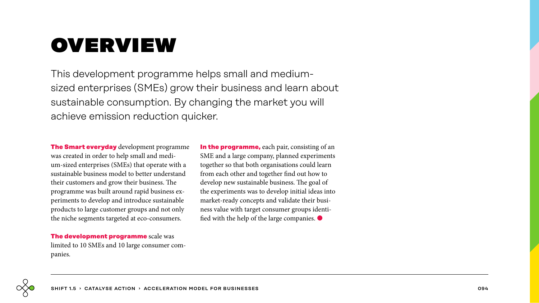# overview

This development programme helps small and mediumsized enterprises (SMEs) grow their business and learn about sustainable consumption. By changing the market you will achieve emission reduction quicker.

**The Smart everyday** development programme was created in order to help small and medium-sized enterprises (SMEs) that operate with a sustainable business model to better understand their customers and grow their business. The programme was built around rapid business experiments to develop and introduce sustainable products to large customer groups and not only the niche segments targeted at eco-consumers.

**In the programme,** each pair, consisting of an SME and a large company, planned experiments together so that both organisations could learn from each other and together find out how to develop new sustainable business. The goal of the experiments was to develop initial ideas into market-ready concepts and validate their business value with target consumer groups identified with the help of the large companies. ●

**The development programme** scale was limited to 10 SMEs and 10 large consumer companies.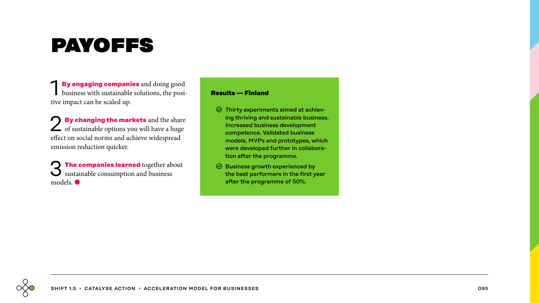# payoffs

**By engaging companies** and doing good business with sustainable solutions, the positive impact can be scaled up.

2 **By changing the markets** and the share of sustainable options you will have a huge effect on social norms and achieve widespread emission reduction quicker.

**The companies learned** together about sustainable consumption and business models. ●

#### **Results — Finland**

- $\odot$  Thirty experiments aimed at achieving thriving and sustainable business. Increased business development competence. Validated business models, MVPs and prototypes, which were developed further in collaboration after the programme.
- $\odot$  Business growth experienced by the best performers in the first year after the programme of 50%.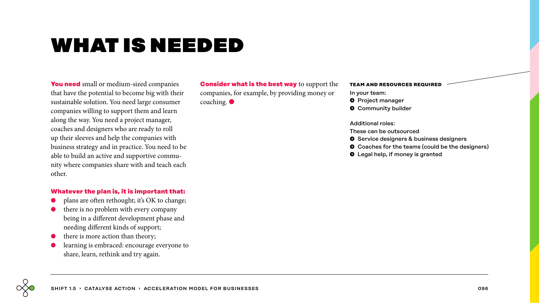## what is needed

**You need** small or medium-sized companies that have the potential to become big with their sustainable solution. You need large consumer companies willing to support them and learn along the way. You need a project manager, coaches and designers who are ready to roll up their sleeves and help the companies with business strategy and in practice. You need to be able to build an active and supportive community where companies share with and teach each other.

#### **Whatever the plan is, it is important that:**

- plans are often rethought; it's OK to change;
- there is no problem with every company being in a different development phase and needing different kinds of support;
- there is more action than theory;
- learning is embraced: encourage everyone to share, learn, rethink and try again.

**Consider what is the best way** to support the companies, for example, by providing money or coaching.

#### **team and resources required**

- In your team:
- $\bullet$  Project manager
- **O** Community builder

#### Additional roles:

- These can be outsourced
- $\bullet$  Service designers & business designers
- $\bullet$  Coaches for the teams (could be the designers)
- $\bullet$  Legal help, if money is granted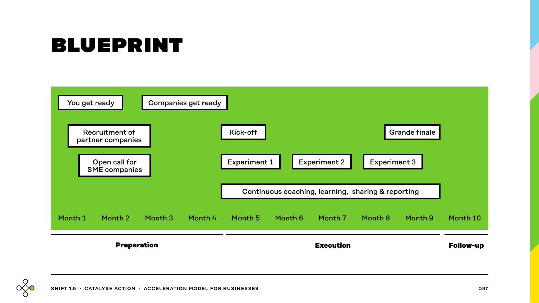## blueprint



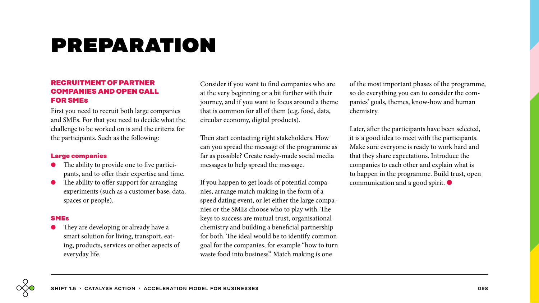# preparation

### **RECRUITMENT OF PARTNER COMPANIES AND OPEN CALL FOR SMEs**

First you need to recruit both large companies and SMEs. For that you need to decide what the challenge to be worked on is and the criteria for the participants. Such as the following:

### **Large companies**

- The ability to provide one to five participants, and to offer their expertise and time.
- The ability to offer support for arranging experiments (such as a customer base, data, spaces or people).

#### **SMEs**

They are developing or already have a smart solution for living, transport, eating, products, services or other aspects of everyday life.

Consider if you want to find companies who are at the very beginning or a bit further with their journey, and if you want to focus around a theme that is common for all of them (e.g. food, data, circular economy, digital products).

Then start contacting right stakeholders. How can you spread the message of the programme as far as possible? Create ready-made social media messages to help spread the message.

If you happen to get loads of potential companies, arrange match making in the form of a speed dating event, or let either the large companies or the SMEs choose who to play with. The keys to success are mutual trust, organisational chemistry and building a beneficial partnership for both. The ideal would be to identify common goal for the companies, for example "how to turn waste food into business". Match making is one

of the most important phases of the programme, so do everything you can to consider the companies' goals, themes, know-how and human chemistry.

Later, after the participants have been selected, it is a good idea to meet with the participants. Make sure everyone is ready to work hard and that they share expectations. Introduce the companies to each other and explain what is to happen in the programme. Build trust, open communication and a good spirit. ●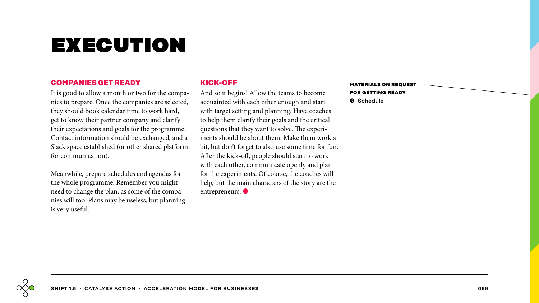# execution

#### **COMPANIES GET READY**

It is good to allow a month or two for the companies to prepare. Once the companies are selected, they should book calendar time to work hard, get to know their partner company and clarify their expectations and goals for the programme. Contact information should be exchanged, and a Slack space established (or other shared platform for communication).

Meanwhile, prepare schedules and agendas for the whole programme. Remember you might need to change the plan, as some of the companies will too. Plans may be useless, but planning is very useful.

### **KICK-OFF**

And so it begins! Allow the teams to become acquainted with each other enough and start with target setting and planning. Have coaches to help them clarify their goals and the critical questions that they want to solve. The experiments should be about them. Make them work a bit, but don't forget to also use some time for fun. After the kick-off, people should start to work with each other, communicate openly and plan for the experiments. Of course, the coaches will help, but the main characters of the story are the entrepreneurs. ●

**materials on request for getting ready** � Schedule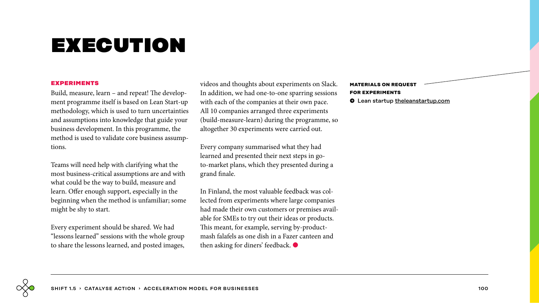# execution

#### **experiments**

Build, measure, learn – and repeat! The development programme itself is based on Lean Start-up methodology, which is used to turn uncertainties and assumptions into knowledge that guide your business development. In this programme, the method is used to validate core business assumptions.

Teams will need help with clarifying what the most business-critical assumptions are and with what could be the way to build, measure and learn. Offer enough support, especially in the beginning when the method is unfamiliar; some might be shy to start.

Every experiment should be shared. We had "lessons learned" sessions with the whole group to share the lessons learned, and posted images, videos and thoughts about experiments on Slack. In addition, we had one-to-one sparring sessions with each of the companies at their own pace. All 10 companies arranged three experiments (build-measure-learn) during the programme, so altogether 30 experiments were carried out.

Every company summarised what they had learned and presented their next steps in goto-market plans, which they presented during a grand finale.

In Finland, the most valuable feedback was collected from experiments where large companies had made their own customers or premises available for SMEs to try out their ideas or products. This meant, for example, serving by-productmash falafels as one dish in a Fazer canteen and then asking for diners' feedback. ●

**materials on request for experiments**  $\bullet$  Lean startup [theleanstartup.com](http://theleanstartup.com/)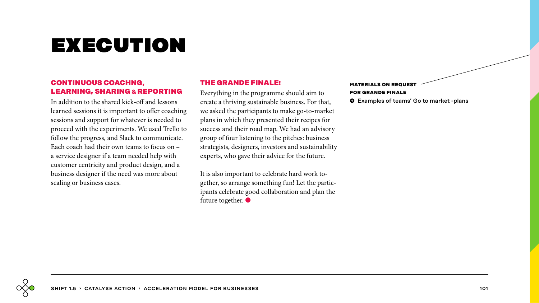# execution

### **CONTINUOUS COACHNG, LEARNING, SHARING & REPORTING**

In addition to the shared kick-off and lessons learned sessions it is important to offer coaching sessions and support for whatever is needed to proceed with the experiments. We used Trello to follow the progress, and Slack to communicate. Each coach had their own teams to focus on – a service designer if a team needed help with customer centricity and product design, and a business designer if the need was more about scaling or business cases.

### **THE GRANDE FINALE!**

Everything in the programme should aim to create a thriving sustainable business. For that, we asked the participants to make go-to-market plans in which they presented their recipes for success and their road map. We had an advisory group of four listening to the pitches: business strategists, designers, investors and sustainability experts, who gave their advice for the future.

It is also important to celebrate hard work together, so arrange something fun! Let the participants celebrate good collaboration and plan the future together.  $\bullet$ 

### **MATERIALS ON REQUEST for grande finale**

 $\bullet$  Examples of teams' Go to market -plans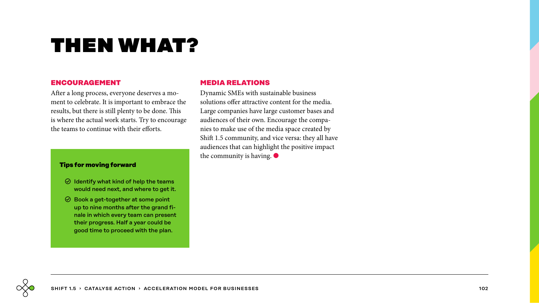# then what?

#### **ENCOURAGEMENT**

After a long process, everyone deserves a moment to celebrate. It is important to embrace the results, but there is still plenty to be done. This is where the actual work starts. Try to encourage the teams to continue with their efforts.

#### **Tips for moving forward**

- $\odot$  Identify what kind of help the teams would need next, and where to get it.
- $\odot$  Book a get-together at some point up to nine months after the grand finale in which every team can present their progress. Half a year could be good time to proceed with the plan.

### **MEDIA RELATIONS**

Dynamic SMEs with sustainable business solutions offer attractive content for the media. Large companies have large customer bases and audiences of their own. Encourage the companies to make use of the media space created by Shift 1.5 community, and vice versa: they all have audiences that can highlight the positive impact the community is having.  $\bullet$